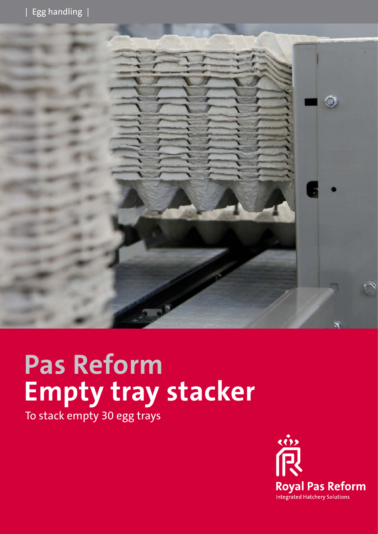

# **Pas Reform Empty tray stacker**

To stack empty 30 egg trays